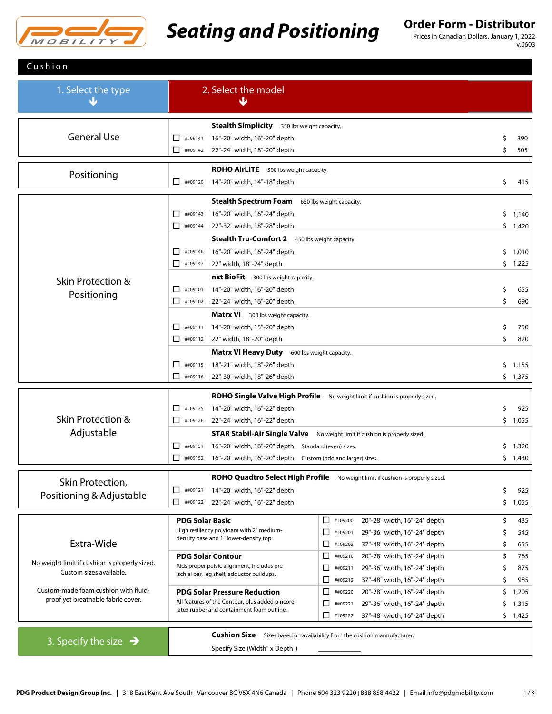

# **Seating and Positioning** Order Form - Distributor

Prices in Canadian Dollars. January 1, 2022 v.0603

| Cushion                                                                         |                                                                                                                                               |              |  |  |  |  |
|---------------------------------------------------------------------------------|-----------------------------------------------------------------------------------------------------------------------------------------------|--------------|--|--|--|--|
| 1. Select the type                                                              | 2. Select the model<br>Ψ                                                                                                                      |              |  |  |  |  |
|                                                                                 | <b>Stealth Simplicity</b> 350 lbs weight capacity.                                                                                            |              |  |  |  |  |
| <b>General Use</b>                                                              | ##09141<br>16"-20" width, 16"-20" depth<br>П                                                                                                  | 390<br>\$    |  |  |  |  |
|                                                                                 | 22"-24" width, 18"-20" depth<br>$\Box$ ##09142                                                                                                | \$<br>505    |  |  |  |  |
| Positioning                                                                     | <b>ROHO AirLITE</b> 300 lbs weight capacity.                                                                                                  |              |  |  |  |  |
|                                                                                 | ##09120<br>14"-20" width, 14"-18" depth<br>$\Box$                                                                                             | \$<br>415    |  |  |  |  |
|                                                                                 | <b>Stealth Spectrum Foam</b><br>650 lbs weight capacity.                                                                                      |              |  |  |  |  |
|                                                                                 | П.<br>##09143<br>16"-20" width, 16"-24" depth                                                                                                 | \$1,140      |  |  |  |  |
|                                                                                 | $\Box$ ##09144<br>22"-32" width, 18"-28" depth                                                                                                | \$1,420      |  |  |  |  |
|                                                                                 | Stealth Tru-Comfort 2 450 lbs weight capacity.                                                                                                |              |  |  |  |  |
|                                                                                 | 16"-20" width, 16"-24" depth<br>##09146<br>$\perp$                                                                                            | 1,010<br>Ş.  |  |  |  |  |
|                                                                                 | $\Box$ ##09147<br>22" width, 18"-24" depth                                                                                                    | \$1,225      |  |  |  |  |
| Skin Protection &                                                               | <b>nxt BioFit</b> 300 lbs weight capacity.                                                                                                    |              |  |  |  |  |
| Positioning                                                                     | 14"-20" width, 16"-20" depth<br>##09101<br>$\mathsf{L}$                                                                                       | \$<br>655    |  |  |  |  |
|                                                                                 | $\Box$<br>22"-24" width, 16"-20" depth<br>##09102                                                                                             | \$<br>690    |  |  |  |  |
|                                                                                 | <b>Matrx VI</b> 300 lbs weight capacity.                                                                                                      |              |  |  |  |  |
|                                                                                 | ##09111<br>14"-20" width, 15"-20" depth<br>$\perp$                                                                                            | \$<br>750    |  |  |  |  |
|                                                                                 | $\Box$<br>##09112<br>22" width, 18"-20" depth                                                                                                 | \$<br>820    |  |  |  |  |
|                                                                                 | <b>Matrx VI Heavy Duty</b> 600 lbs weight capacity.                                                                                           |              |  |  |  |  |
|                                                                                 | ##09115<br>18"-21" width, 18"-26" depth<br>П.                                                                                                 | \$.<br>1,155 |  |  |  |  |
|                                                                                 | 0<br>22"-30" width, 18"-26" depth<br>##09116                                                                                                  | \$1,375      |  |  |  |  |
|                                                                                 | ROHO Single Valve High Profile No weight limit if cushion is properly sized.                                                                  |              |  |  |  |  |
|                                                                                 | ##09125<br>14"-20" width, 16"-22" depth<br>П                                                                                                  | 925<br>\$    |  |  |  |  |
| <b>Skin Protection &amp;</b>                                                    | $\Box$ ##09126<br>22"-24" width, 16"-22" depth                                                                                                | \$.<br>1,055 |  |  |  |  |
| Adjustable                                                                      | <b>STAR Stabil-Air Single Valve</b> No weight limit if cushion is properly sized.                                                             |              |  |  |  |  |
|                                                                                 | 16"-20" width, 16"-20" depth Standard (even) sizes.<br>$\mathbf{L}$<br>##09151                                                                | \$.<br>1,320 |  |  |  |  |
|                                                                                 | $\Box$ ##09152<br>16"-20" width, 16"-20" depth Custom (odd and larger) sizes.                                                                 | \$1,430      |  |  |  |  |
| Skin Protection,                                                                | ROHO Quadtro Select High Profile No weight limit if cushion is properly sized.                                                                |              |  |  |  |  |
| Positioning & Adjustable                                                        | ##09121<br>14"-20" width, 16"-22" depth<br>П.                                                                                                 | 925<br>\$    |  |  |  |  |
|                                                                                 | 22"-24" width, 16"-22" depth<br>$\Box$ ##09122                                                                                                | \$.<br>1,055 |  |  |  |  |
|                                                                                 | □<br>20"-28" width, 16"-24" depth<br><b>PDG Solar Basic</b><br>##09200                                                                        | \$<br>435    |  |  |  |  |
|                                                                                 | High resiliency polyfoam with 2" medium-<br>29"-36" width, 16"-24" depth<br>□<br>##09201                                                      | 545<br>\$    |  |  |  |  |
| Extra-Wide                                                                      | density base and 1" lower-density top.<br>□<br>37"-48" width, 16"-24" depth<br>##09202                                                        | \$<br>655    |  |  |  |  |
|                                                                                 | <b>PDG Solar Contour</b><br>20"-28" width, 16"-24" depth<br>⊔<br>##09210                                                                      | \$<br>765    |  |  |  |  |
| No weight limit if cushion is properly sized.<br>Custom sizes available.        | Aids proper pelvic alignment, includes pre-<br>29"-36" width, 16"-24" depth<br>□<br>##09211                                                   | 875<br>S     |  |  |  |  |
|                                                                                 | ischial bar, leg shelf, adductor buildups.<br>□<br>37"-48" width, 16"-24" depth<br>##09212                                                    | \$<br>985    |  |  |  |  |
| Custom-made foam cushion with fluid-                                            | 20"-28" width, 16"-24" depth<br><b>PDG Solar Pressure Reduction</b><br>□<br>##09220                                                           | \$.<br>1,205 |  |  |  |  |
| proof yet breathable fabric cover.                                              | All features of the Contour, plus added pincore<br>□<br>29"-36" width, 16"-24" depth<br>##09221<br>latex rubber and containment foam outline. | 1,315<br>\$  |  |  |  |  |
|                                                                                 | □<br>37"-48" width, 16"-24" depth<br>##09222                                                                                                  | \$.<br>1,425 |  |  |  |  |
| <b>Cushion Size</b> Sizes based on availability from the cushion mannufacturer. |                                                                                                                                               |              |  |  |  |  |
| 3. Specify the size $\rightarrow$                                               | Specify Size (Width" x Depth")                                                                                                                |              |  |  |  |  |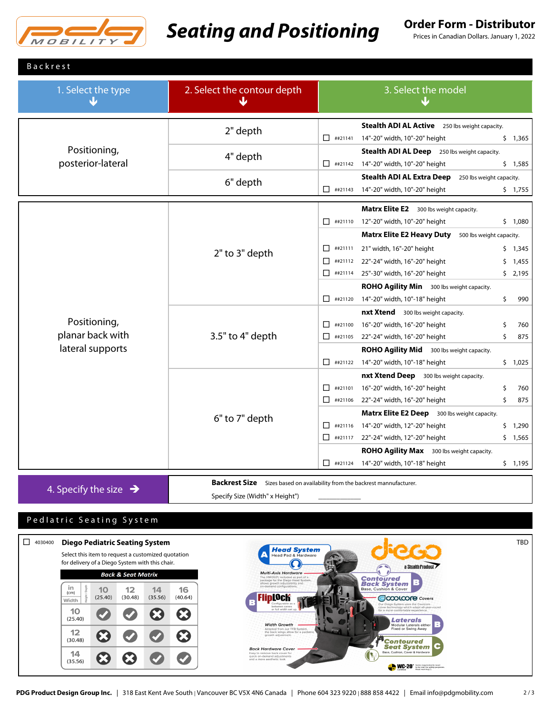

# **Seating and Positioning** Order Form - Distributor

Prices in Canadian Dollars. January 1, 2022

## **Backrest**

| 1. Select the type                                   | 2. Select the contour depth<br>w | 3. Select the model<br>۸L                                                                                                                                                                                                                                                                                                                                                                   |  |  |
|------------------------------------------------------|----------------------------------|---------------------------------------------------------------------------------------------------------------------------------------------------------------------------------------------------------------------------------------------------------------------------------------------------------------------------------------------------------------------------------------------|--|--|
| Positioning,<br>posterior-lateral                    | 2" depth                         | Stealth ADI AL Active 250 lbs weight capacity.<br>$\Box$ ##21141<br>14"-20" width, 10"-20" height<br>\$1,365                                                                                                                                                                                                                                                                                |  |  |
|                                                      | 4" depth                         | <b>Stealth ADI AL Deep</b> 250 lbs weight capacity.<br>##21142 14"-20" width, 10"-20" height<br>\$1,585                                                                                                                                                                                                                                                                                     |  |  |
|                                                      | 6" depth                         | <b>Stealth ADI AL Extra Deep</b><br>250 lbs weight capacity.<br>14"-20" width, 10"-20" height<br>$\Box$ ##21143<br>\$1,755                                                                                                                                                                                                                                                                  |  |  |
| Positioning,<br>planar back with<br>lateral supports | 2" to 3" depth                   | Matrx Elite E2 300 lbs weight capacity.<br>12"-20" width, 10"-20" height<br>$\Box$ ##21110<br>\$1,080<br><b>Matrx Elite E2 Heavy Duty</b><br>500 lbs weight capacity.                                                                                                                                                                                                                       |  |  |
|                                                      |                                  | 21" width, 16"-20" height<br>$\Box$ ##21111<br>\$1,345<br>##21112 22"-24" width, 16"-20" height<br>\$1,455<br>П.<br>$\Box$ ##21114 25"-30" width, 16"-20" height<br>\$2,195<br>ROHO Agility Min 300 lbs weight capacity.<br>$\Box$ ##21120<br>14"-20" width, 10"-18" height<br>\$<br>990                                                                                                    |  |  |
|                                                      | 3.5" to 4" depth                 | nxt Xtend 300 lbs weight capacity.<br>16"-20" width, 16"-20" height<br>$\Box$ ##21100<br>760<br>\$<br>##21105 22"-24" width, 16"-20" height<br>875<br>\$<br><b>ROHO Agility Mid</b> 300 lbs weight capacity.<br>##21122 14"-20" width, 10"-18" height<br>\$1,025                                                                                                                            |  |  |
|                                                      | 6" to 7" depth                   | nxt Xtend Deep 300 lbs weight capacity.<br>16"-20" width, 16"-20" height<br>П.<br>##21101<br>\$<br>760<br>Ś<br>875<br>22"-24" width, 16"-20" height<br>$\Box$ ##21106<br>Matrx Elite E2 Deep 300 lbs weight capacity.<br>14"-20" width, 12"-20" height<br>$\Box$ ##21116<br>\$1,290<br>##21117 22"-24" width, 12"-20" height<br>\$1,565<br><b>ROHO Agility Max</b> 300 lbs weight capacity. |  |  |
| 4. Specify the size $\rightarrow$                    |                                  | ##21124 14"-20" width, 10"-18" height<br>\$1,195<br>Backrest Size Sizes based on availability from the backrest mannufacturer.                                                                                                                                                                                                                                                              |  |  |

Specify Size (Width" x Height") \_\_\_\_\_\_\_\_\_\_\_\_\_

## Ped I a tric Seating System